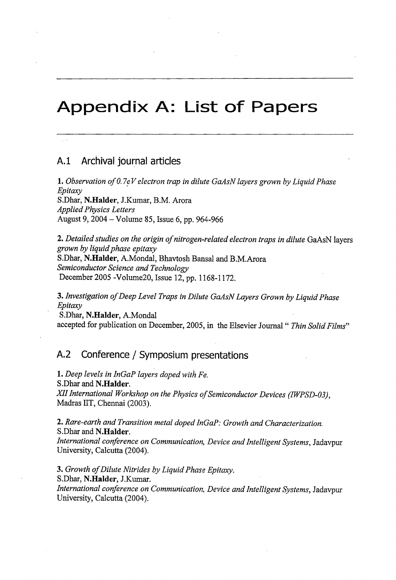## **Appendix A: List of Papers**

## **A.l Archival journal articles**

**1.** *Observation of0.7eV electron trap in dilute GaAsN layers grown by LiquidPhase Epitaxy* S.Dhar, **N.Halder,** J.Kumar, B.M. Arora *Applied Physics Letters* August 9, <sup>2004</sup> - Volume 85, Issue 6, pp. 964-966

**2.** *Detailed studies on the origin ofnitrogen-related electron traps in dilute* GaAsN layers *grown by liquidphase epitaxy* S.Dhar, **N.Halder,** A.Mondal, Bhavtosh Bansal and B.M.Arora *Semiconductor Science and Technology* December 2005 -Volume20, Issue 12, pp. 1168-1172.

**3.** *Investigation ofDeep Level Traps in Dilute GaAsNLayers Grown by LiquidPhase Epitaxy*

S.Dhar, **N.Halder,** A.Mondal accepted for publication on December, 2005, in the Elsevier Journal " Thin Solid Films"

## **A.2 Conference / Symposium presentations**

**1.** *Deep levels in InGaP layers doped with Fe.* S.Dhar and **N.Halder.** *XIIInternational Workshop on the Physics ofSemiconductor Devices (IWPSD-03),* Madras IIT, Chennai (2003).

**2.** *Rare-earth and Transition metal doped InGaP: Growth and Characterization.* S.Dhar and **N.Halder.**

*International conference on Communication, Device and Intelligent Systems,* Jadavpur University, Calcutta (2004).

**3.** *Growth ofDilute Nitrides by LiquidPhase Epitaxy.*

S.Dhar, **N.Halder,** J.Kumar.

*International conference on Communication, Device and IntelligentSystems,* Jadavpur University, Calcutta (2004).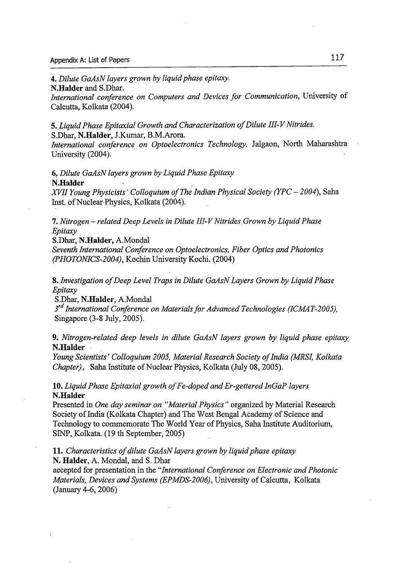**4.** *Dilute GaAsN layers grown by liquidphase epitaxy.*

**N.Halder** and S.Dhar.

*International conference on Computers and Devices for Communication,* University of Calcutta, Kolkata (2004).

**5.** *Liquid Phase Epitaxial Growth and Characterization of Dilute III-V Nitrides.* **5.** Dhar, **N.Halder,** J.Kumar, B.M.Arora.

*International conference on Optoelectronics Technology,* Jalgaon, North Maharashtra University (2004).

**6.** *Dilute GaAsNlayers grown by Liquid Phase Epitaxy* **N.Halder**

*XVII Young Physicists' Colloquium ofThe Indian Physical Society (YPC* **-** *2004),* Saha Inst. of Nuclear Physics, Kolkata (2004).

**7.** *Nitrogen -relatedDeep Levels in Dilute III-VNitrides Grown by Liquid Phase Epitaxy*

S.Dhar, **N.Halder,** A.Mondal

*Seventh International Conference on Optoelectronics, Fiber Optics and Photonics (PHOTONICS-2004),* Kochin University Kochi. (2004)

**8.** *Investigation ofDeep Level Traps in Dilute GaAsNLayers Grown by Liquid Phase Epitaxy*

S.Dhar, **N.Halder,** A.Mondal

*3rd International Conference on MaterialsforAdvanced Technologies (ICMAT-2005),* Singapore (3-8 July, 2005).

**9.** *Nitrogen-related deep levels in dilute GaAsN layers grown by liquid phase epitaxy* **N.Halder**

*Young Scientists' Colloquium 2005, Material Research Society ofIndia (MRSI, Kolkata Chapter*), Saha Institute of Nuclear Physics, Kolkata (July 08, 2005).

**10.** *LiquidPhase Epitaxial growth ofFe-doped and Er-gettered InGaP layers* **N.Halder**

Presented in *One day seminar on "Material Physics ''* organized by Material Research Society of India (Kolkata Chapter) and The West Bengal Academy of Science and Technology to commemorate The World Year of Physics, Saha Institute Auditorium, SINP, Kolkata. (19 th September, 2005)

**11.** *Characteristics ofdilute GaAsN layers grown by liquidphase epitaxy* **N. Haider,** A. Mondal, and S. Dhar

accepted for presentation in the *"International Conference on Electronic and Photonic Materials, Devices and Systems (EPMDS-2006),* University ofCalcutta, Kolkata (January 4-6,2006)